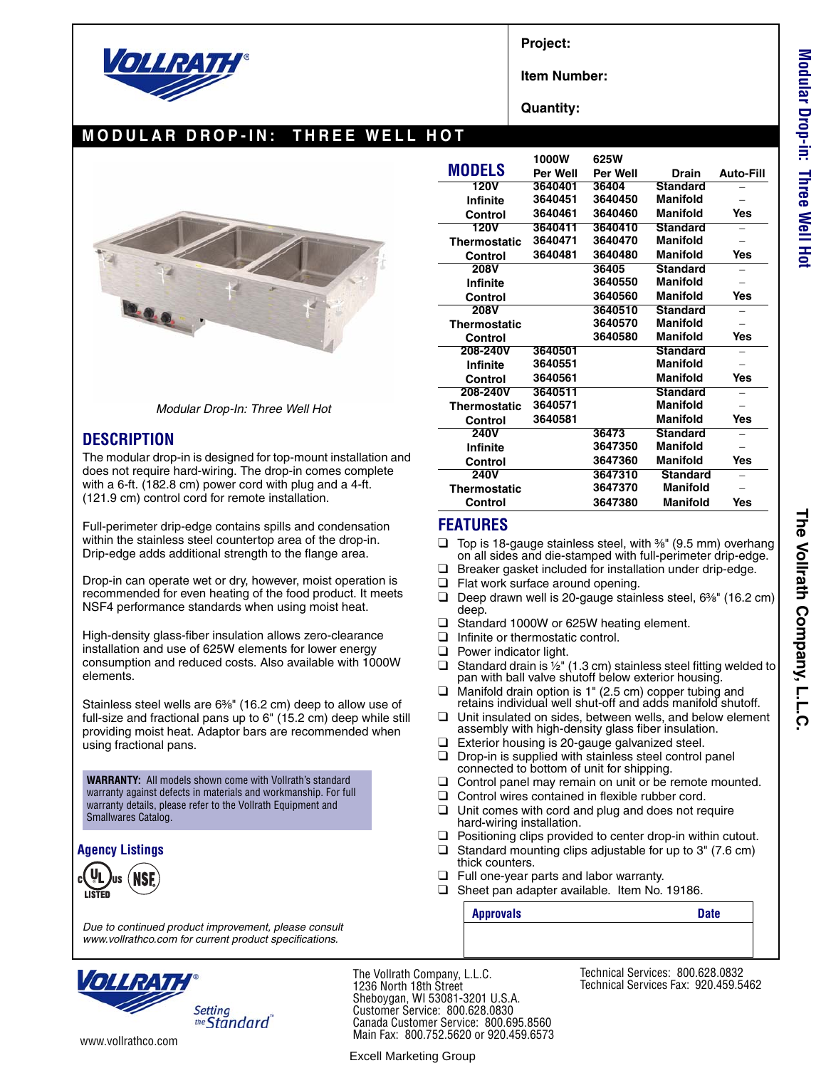

**Project:**

**Item Number:**

**Quantity:**

# **MODULAR DROP-IN: THREE WELL HOT**





#### **DESCRIPTION**

The modular drop-in is designed for top-mount installation and does not require hard-wiring. The drop-in comes complete with a 6-ft. (182.8 cm) power cord with plug and a 4-ft. (121.9 cm) control cord for remote installation.

Full-perimeter drip-edge contains spills and condensation within the stainless steel countertop area of the drop-in. Drip-edge adds additional strength to the flange area.

Drop-in can operate wet or dry, however, moist operation is recommended for even heating of the food product. It meets NSF4 performance standards when using moist heat.

High-density glass-fiber insulation allows zero-clearance installation and use of 625W elements for lower energy consumption and reduced costs. Also available with 1000W elements.

Stainless steel wells are 6<sup>3</sup>/<sub>8</sub>" (16.2 cm) deep to allow use of full-size and fractional pans up to 6" (15.2 cm) deep while still providing moist heat. Adaptor bars are recommended when using fractional pans.

**WARRANTY:** All models shown come with Vollrath's standard warranty against defects in materials and workmanship. For full warranty details, please refer to the Vollrath Equipment and Smallwares Catalog.

#### **Agency Listings**



*Due to continued product improvement, please consult www.vollrathco.com for current product specifications.*

|                     | 1000W           | 625W     |                 |                  |
|---------------------|-----------------|----------|-----------------|------------------|
| <b>MODELS</b>       | <b>Per Well</b> | Per Well | Drain           | <b>Auto-Fill</b> |
| <b>120V</b>         | 3640401         | 36404    | <b>Standard</b> |                  |
| <b>Infinite</b>     | 3640451         | 3640450  | Manifold        |                  |
| Control             | 3640461         | 3640460  | Manifold        | Yes              |
| 120V                | 3640411         | 3640410  | <b>Standard</b> |                  |
| <b>Thermostatic</b> | 3640471         | 3640470  | Manifold        |                  |
| Control             | 3640481         | 3640480  | Manifold        | Yes              |
| 208V                |                 | 36405    | Standard        |                  |
| Infinite            |                 | 3640550  | Manifold        |                  |
| Control             |                 | 3640560  | Manifold        | Yes              |
| 208V                |                 | 3640510  | <b>Standard</b> |                  |
| <b>Thermostatic</b> |                 | 3640570  | Manifold        |                  |
| Control             |                 | 3640580  | Manifold        | Yes              |
| 208-240V            | 3640501         |          | <b>Standard</b> |                  |
| Infinite            | 3640551         |          | Manifold        |                  |
| Control             | 3640561         |          | Manifold        | Yes              |
| 208-240V            | 3640511         |          | Standard        |                  |
| <b>Thermostatic</b> | 3640571         |          | Manifold        |                  |
| Control             | 3640581         |          | Manifold        | <b>Yes</b>       |
| <b>240V</b>         |                 | 36473    | Standard        |                  |
| <b>Infinite</b>     |                 | 3647350  | Manifold        |                  |
| Control             |                 | 3647360  | <b>Manifold</b> | Yes              |
| <b>240V</b>         |                 | 3647310  | <b>Standard</b> |                  |
| <b>Thermostatic</b> |                 | 3647370  | <b>Manifold</b> |                  |
| Control             |                 | 3647380  | Manifold        | Yes              |

### **FEATURES**

- $\Box$  Top is 18-gauge stainless steel, with  $\frac{3}{8}$ " (9.5 mm) overhang on all sides and die-stamped with full-perimeter drip-edge.
- Breaker gasket included for installation under drip-edge.
- ❑ Flat work surface around opening.
- □ Deep drawn well is 20-gauge stainless steel, 6<sup>3</sup>/<sub>8</sub>" (16.2 cm) deep.
- ❑ Standard 1000W or 625W heating element.
- ❑ Infinite or thermostatic control.
- ❑ Power indicator light.
- □ Standard drain is  $\frac{1}{2}$ " (1.3 cm) stainless steel fitting welded to pan with ball valve shutoff below exterior housing.
- ❑ Manifold drain option is 1" (2.5 cm) copper tubing and retains individual well shut-off and adds manifold shutoff.
- ❑ Unit insulated on sides, between wells, and below element assembly with high-density glass fiber insulation.
- ❑ Exterior housing is 20-gauge galvanized steel.
- ❑ Drop-in is supplied with stainless steel control panel connected to bottom of unit for shipping.
- □ Control panel may remain on unit or be remote mounted.
- ❑ Control wires contained in flexible rubber cord.
- ❑ Unit comes with cord and plug and does not require hard-wiring installation.
- ❑ Positioning clips provided to center drop-in within cutout.
- $\Box$  Standard mounting clips adjustable for up to 3" (7.6 cm) thick counters.
- ❑ Full one-year parts and labor warranty.
- ❑ Sheet pan adapter available. Item No. 19186.

**Approvals** Date

**Setting** the Standard

www.vollrathco.com

The Vollrath Company, L.L.C. 1236 North 18th Street Sheboygan, WI 53081-3201 U.S.A. Customer Service: 800.628.0830 Canada Customer Service: 800.695.8560 Main Fax: 800.752.5620 or 920.459.6573

Excell Marketing Group

Technical Services: 800.628.0832 Technical Services Fax: 920.459.5462